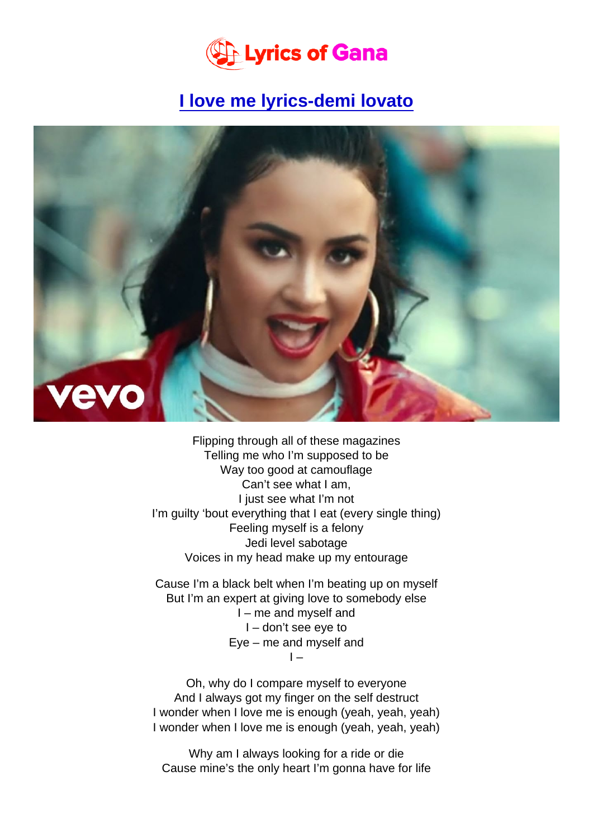[I love me lyrics-demi lovato](https://www.lyricsofgana.com/i-love-me-lyrics-demi-lovato)

Flipping through all of these magazines Telling me who I'm supposed to be Way too good at camouflage Can't see what I am, I just see what I'm not I'm guilty 'bout everything that I eat (every single thing) Feeling myself is a felony Jedi level sabotage Voices in my head make up my entourage

Cause I'm a black belt when I'm beating up on myself But I'm an expert at giving love to somebody else I – me and myself and I – don't see eye to Eye – me and myself and  $\vert - \vert$ 

Oh, why do I compare myself to everyone And I always got my finger on the self destruct I wonder when I love me is enough (yeah, yeah, yeah) I wonder when I love me is enough (yeah, yeah, yeah)

Why am I always looking for a ride or die Cause mine's the only heart I'm gonna have for life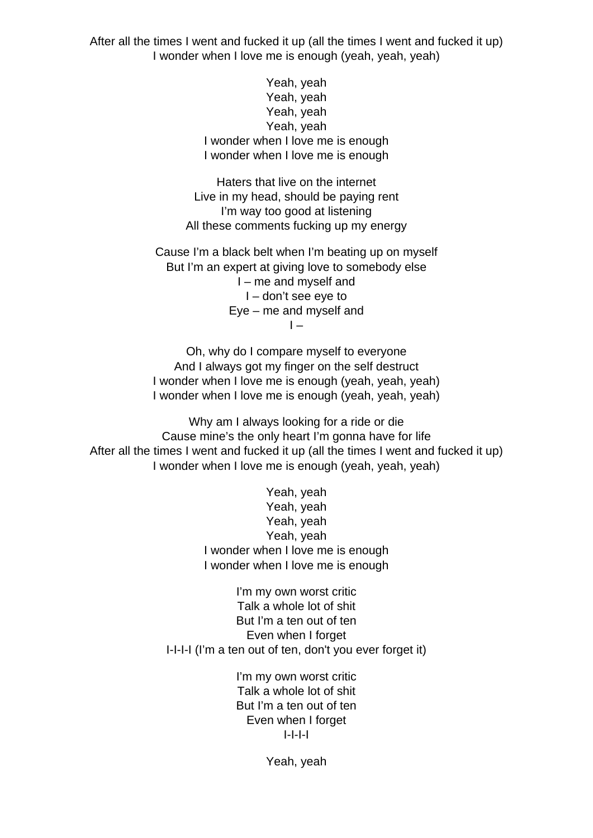After all the times I went and fucked it up (all the times I went and fucked it up) I wonder when I love me is enough (yeah, yeah, yeah)

> Yeah, yeah Yeah, yeah Yeah, yeah Yeah, yeah I wonder when I love me is enough I wonder when I love me is enough

Haters that live on the internet Live in my head, should be paying rent I'm way too good at listening All these comments fucking up my energy

Cause I'm a black belt when I'm beating up on myself But I'm an expert at giving love to somebody else I – me and myself and I – don't see eye to Eye – me and myself and

 $\blacksquare$ 

Oh, why do I compare myself to everyone And I always got my finger on the self destruct I wonder when I love me is enough (yeah, yeah, yeah) I wonder when I love me is enough (yeah, yeah, yeah)

Why am I always looking for a ride or die Cause mine's the only heart I'm gonna have for life After all the times I went and fucked it up (all the times I went and fucked it up) I wonder when I love me is enough (yeah, yeah, yeah)

> Yeah, yeah Yeah, yeah Yeah, yeah Yeah, yeah I wonder when I love me is enough I wonder when I love me is enough

I'm my own worst critic Talk a whole lot of shit But I'm a ten out of ten Even when I forget I-I-I-I (I'm a ten out of ten, don't you ever forget it)

> I'm my own worst critic Talk a whole lot of shit But I'm a ten out of ten Even when I forget I-I-I-I

> > Yeah, yeah